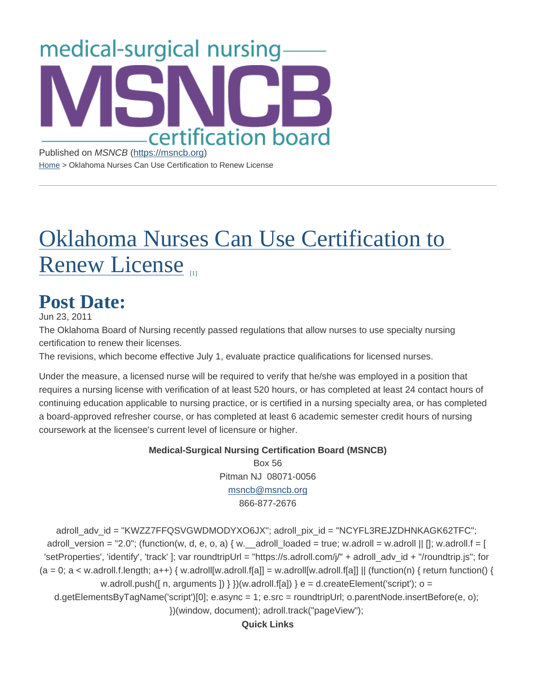Published on MSNCB [\(https://msncb.org](https://msncb.org)) [Home](https://msncb.org/) > Oklahoma Nurses Can Use Certification to Renew License

## [Oklahoma Nurses Can Use Certification](https://msncb.org/news/oklahoma-nurses-can-use-certification-renew-license) to [Renew Licens](https://msncb.org/news/oklahoma-nurses-can-use-certification-renew-license)e

## Post Date:

Jun 23, 2011

The Oklahoma Board of Nursing recently passed regulations that allow nurses to use specialty nursing certification to renew their licenses.

The revisions, which become effective July 1, evaluate practice qualifications for licensed nurses.

Under the measure, a licensed nurse will be required to verify that he/she was employed in a position that requires a nursing license with verification of at least 520 hours, or has completed at least 24 contact hours of continuing education applicable to nursing practice, or is certified in a nursing specialty area, or has completed a board-approved refresher course, or has completed at least 6 academic semester credit hours of nursing coursework at the licensee's current level of licensure or higher.

> Medical-Surgical Nursing Certification Board (MSNCB) Box 56 Pitman NJ 08071-0056 [msncb@msncb.org](mailto:msncb@msncb.org?subject=Website Contact) 866-877-2676

adroll\_adv\_id = "KWZZ7FFQSVGWDMODYXO6JX"; adroll\_pix\_id = "NCYFL3REJZDHNKAGK62TFC"; adroll\_version = "2.0"; (function(w, d, e, o, a) { w. \_\_adroll\_loaded = true; w.adroll = w.adroll || []; w.adroll.f = [ 'setProperties', 'identify', 'track' ]; var roundtripUrl = "https://s.adroll.com/j/" + adroll\_adv\_id + "/roundtrip.js"; for  $(a = 0; a < w$ .adroll.f.length;  $a++$ ) { w.adroll[w.adroll.f[a]] = w.adroll[w.adroll.f[a]] || (function(n) { return function() { w.adroll.push( $\lceil n, \frac{arguments}{\rceil} \rceil$  }  $\}(w.addroll.f[a])$  } e = d.createElement('script'); o = d.getElementsByTagName('script')[0]; e.async = 1; e.src = roundtripUrl; o.parentNode.insertBefore(e, o); })(window, document); adroll.track("pageView");

Quick Links